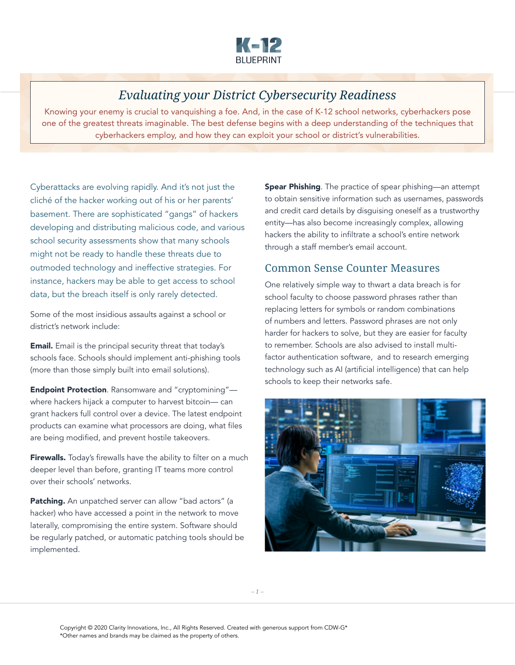

## *Evaluating your District Cybersecurity Readiness*

Knowing your enemy is crucial to vanquishing a foe. And, in the case of K-12 school networks, cyberhackers pose one of the greatest threats imaginable. The best defense begins with a deep understanding of the techniques that cyberhackers employ, and how they can exploit your school or district's vulnerabilities.

Cyberattacks are evolving rapidly. And it's not just the cliché of the hacker working out of his or her parents' basement. There are sophisticated "gangs" of hackers developing and distributing malicious code, and various school security assessments show that many schools might not be ready to handle these threats due to outmoded technology and ineffective strategies. For instance, hackers may be able to get access to school data, but the breach itself is only rarely detected.

Some of the most insidious assaults against a school or district's network include:

**Email.** Email is the principal security threat that today's schools face. Schools should implement anti-phishing tools (more than those simply built into email solutions).

Endpoint Protection. Ransomware and "cryptomining" where hackers hijack a computer to harvest bitcoin— can grant hackers full control over a device. The latest endpoint products can examine what processors are doing, what files are being modified, and prevent hostile takeovers.

Firewalls. Today's firewalls have the ability to filter on a much deeper level than before, granting IT teams more control over their schools' networks.

Patching. An unpatched server can allow "bad actors" (a hacker) who have accessed a point in the network to move laterally, compromising the entire system. Software should be regularly patched, or automatic patching tools should be implemented.

Spear Phishing. The practice of spear phishing—an attempt to obtain sensitive information such as usernames, passwords and credit card details by disguising oneself as a trustworthy entity—has also become increasingly complex, allowing hackers the ability to infiltrate a school's entire network through a staff member's email account.

## Common Sense Counter Measures

One relatively simple way to thwart a data breach is for school faculty to choose password phrases rather than replacing letters for symbols or random combinations of numbers and letters. Password phrases are not only harder for hackers to solve, but they are easier for faculty to remember. Schools are also advised to install multifactor authentication software, and to research emerging technology such as AI (artificial intelligence) that can help schools to keep their networks safe.